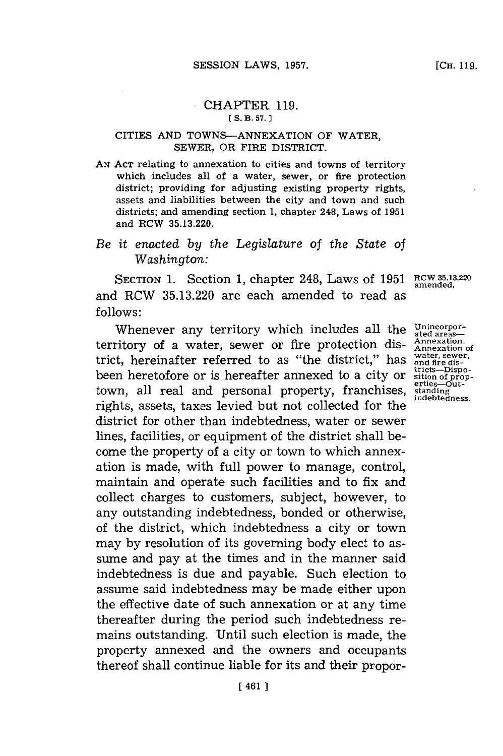## CHAPTER **119. E S. B. 57. 1**

## CITIES **AND TOWNS-ANNEXATION** OF WATER, SEWER, OR FIRE DISTRICT.

**AN ACT** relating to annexation to cities and towns of territory which includes all of a water, sewer, or fire protection district; providing for adjusting existing property rights, assets and liabilities between the city and town and such districts; and amending section **1,** chapter 248, Laws of **1951** and RCW **35.13.220.**

## *Be it enacted by the Legislature of the State* of *Washington:*

**SECTION 1.** Section **1,** chapter 248, Laws of **1951** RCW **35.13.220 amended.** and RCW **35.13.220** are each amended to read as **follows:**

Whenever any territory which includes all the <sup>Unincorpor-</sup>
<br> **Annexation Annexation Annexation Annexation Annexation Annexation Annexation Annexation** territory of a water, sewer or fire protection district, hereinafter referred to as "the district," has been heretofore or is hereafter annexed to a city or town, all real and personal property, franchises, rights, assets, taxes levied but not collected for the district for other than indebtedness, water or sewer lines, facilities, or equipment of the district shall become the property of a city or town to which annexation is made, with full power to manage, control, maintain and operate such facilities and to fix and collect charges to customers, subject, however, to any outstanding indebtedness, bonded or otherwise, of the district, which indebtedness a city or town may **by** resolution of its governing body elect to assume and pay at the times and in the manner said indebtedness is due and payable. Such election to assume said indebtedness may be made either upon the effective date of such annexation or at any time thereafter during the period such indebtedness remains outstanding. Until such election is made, the property annexed and the owners and occupants thereof shall continue liable for its and their propor-

**Annexation of water, sewer, and fire dis-tricts-Dispo-sition of prop-erties-Outstanding indebtedness.**